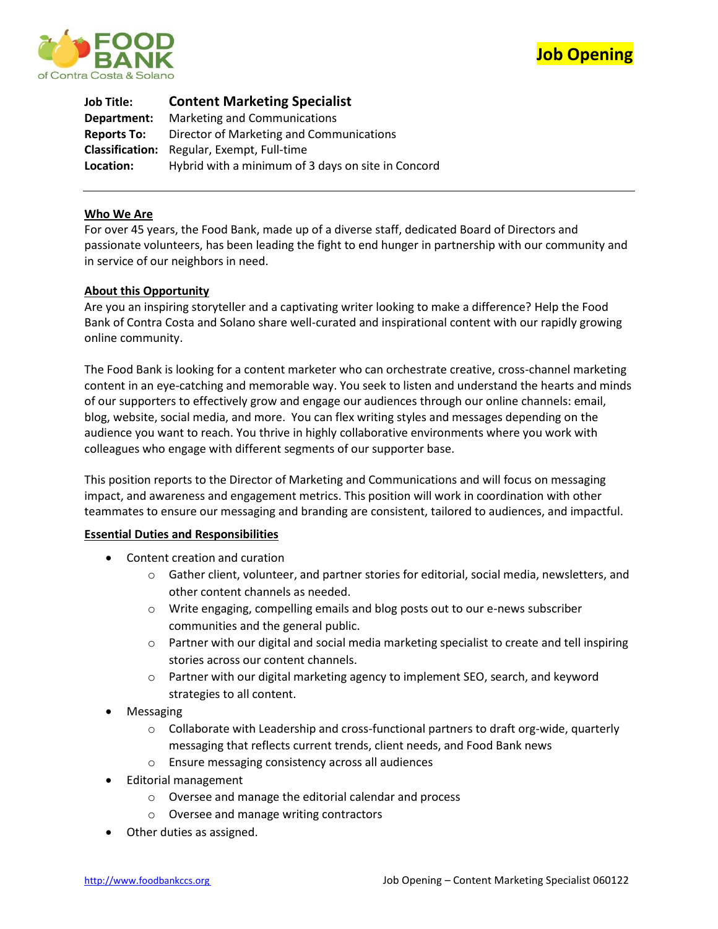



**Job Title: Content Marketing Specialist Department:** Marketing and Communications **Reports To:** Director of Marketing and Communications **Classification:** Regular, Exempt, Full-time **Location:** Hybrid with a minimum of 3 days on site in Concord

# **Who We Are**

For over 45 years, the Food Bank, made up of a diverse staff, dedicated Board of Directors and passionate volunteers, has been leading the fight to end hunger in partnership with our community and in service of our neighbors in need.

## **About this Opportunity**

Are you an inspiring storyteller and a captivating writer looking to make a difference? Help the Food Bank of Contra Costa and Solano share well-curated and inspirational content with our rapidly growing online community.

The Food Bank is looking for a content marketer who can orchestrate creative, cross-channel marketing content in an eye-catching and memorable way. You seek to listen and understand the hearts and minds of our supporters to effectively grow and engage our audiences through our online channels: email, blog, website, social media, and more. You can flex writing styles and messages depending on the audience you want to reach. You thrive in highly collaborative environments where you work with colleagues who engage with different segments of our supporter base.

This position reports to the Director of Marketing and Communications and will focus on messaging impact, and awareness and engagement metrics. This position will work in coordination with other teammates to ensure our messaging and branding are consistent, tailored to audiences, and impactful.

## **Essential Duties and Responsibilities**

- Content creation and curation
	- o Gather client, volunteer, and partner stories for editorial, social media, newsletters, and other content channels as needed.
	- o Write engaging, compelling emails and blog posts out to our e-news subscriber communities and the general public.
	- $\circ$  Partner with our digital and social media marketing specialist to create and tell inspiring stories across our content channels.
	- o Partner with our digital marketing agency to implement SEO, search, and keyword strategies to all content.
- Messaging
	- $\circ$  Collaborate with Leadership and cross-functional partners to draft org-wide, quarterly messaging that reflects current trends, client needs, and Food Bank news
	- o Ensure messaging consistency across all audiences
- Editorial management
	- o Oversee and manage the editorial calendar and process
	- o Oversee and manage writing contractors
- Other duties as assigned.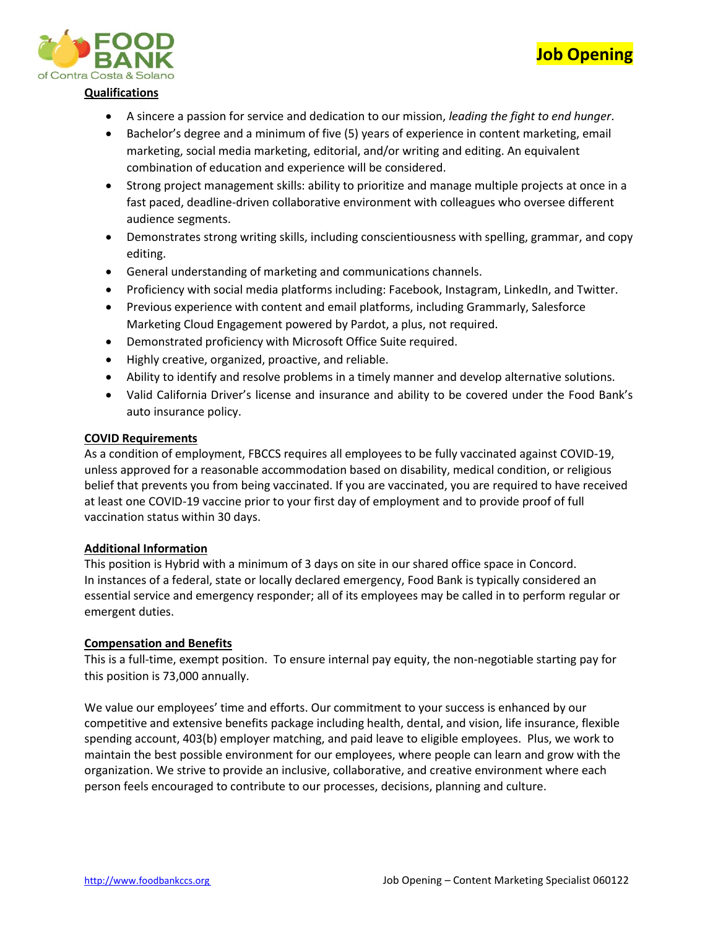



## **Qualifications**

- A sincere a passion for service and dedication to our mission, *leading the fight to end hunger*.
- Bachelor's degree and a minimum of five (5) years of experience in content marketing, email marketing, social media marketing, editorial, and/or writing and editing. An equivalent combination of education and experience will be considered.
- Strong project management skills: ability to prioritize and manage multiple projects at once in a fast paced, deadline-driven collaborative environment with colleagues who oversee different audience segments.
- Demonstrates strong writing skills, including conscientiousness with spelling, grammar, and copy editing.
- General understanding of marketing and communications channels.
- Proficiency with social media platforms including: Facebook, Instagram, LinkedIn, and Twitter.
- Previous experience with content and email platforms, including Grammarly, Salesforce Marketing Cloud Engagement powered by Pardot, a plus, not required.
- Demonstrated proficiency with Microsoft Office Suite required.
- Highly creative, organized, proactive, and reliable.
- Ability to identify and resolve problems in a timely manner and develop alternative solutions.
- Valid California Driver's license and insurance and ability to be covered under the Food Bank's auto insurance policy.

## **COVID Requirements**

As a condition of employment, FBCCS requires all employees to be fully vaccinated against COVID-19, unless approved for a reasonable accommodation based on disability, medical condition, or religious belief that prevents you from being vaccinated. If you are vaccinated, you are required to have received at least one COVID-19 vaccine prior to your first day of employment and to provide proof of full vaccination status within 30 days.

## **Additional Information**

This position is Hybrid with a minimum of 3 days on site in our shared office space in Concord. In instances of a federal, state or locally declared emergency, Food Bank is typically considered an essential service and emergency responder; all of its employees may be called in to perform regular or emergent duties.

#### **Compensation and Benefits**

This is a full-time, exempt position. To ensure internal pay equity, the non-negotiable starting pay for this position is 73,000 annually.

We value our employees' time and efforts. Our commitment to your success is enhanced by our competitive and extensive benefits package including health, dental, and vision, life insurance, flexible spending account, 403(b) employer matching, and paid leave to eligible employees. Plus, we work to maintain the best possible environment for our employees, where people can learn and grow with the organization. We strive to provide an inclusive, collaborative, and creative environment where each person feels encouraged to contribute to our processes, decisions, planning and culture.